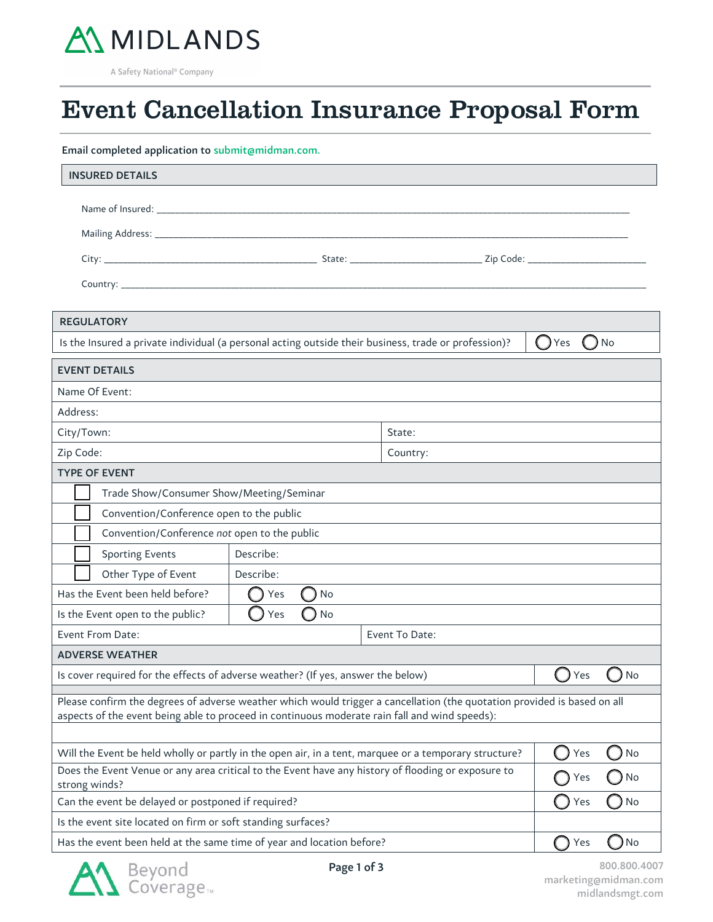

A Safety National<sup>®</sup> Company

5

 $\overline{a}$ 

## Event Cancellation Insurance Proposal Form

Email completed application to submit@midman.com.

| <b>INSURED DETAILS</b>                                                                                                                                                                                                    |           |                  |           |  |
|---------------------------------------------------------------------------------------------------------------------------------------------------------------------------------------------------------------------------|-----------|------------------|-----------|--|
|                                                                                                                                                                                                                           |           |                  |           |  |
|                                                                                                                                                                                                                           |           |                  |           |  |
|                                                                                                                                                                                                                           |           |                  |           |  |
|                                                                                                                                                                                                                           |           |                  |           |  |
|                                                                                                                                                                                                                           |           |                  |           |  |
| <b>REGULATORY</b>                                                                                                                                                                                                         |           |                  |           |  |
| Is the Insured a private individual (a personal acting outside their business, trade or profession)?<br>No<br>( ) Yes                                                                                                     |           |                  |           |  |
| <b>EVENT DETAILS</b>                                                                                                                                                                                                      |           |                  |           |  |
| Name Of Event:                                                                                                                                                                                                            |           |                  |           |  |
| Address:                                                                                                                                                                                                                  |           |                  |           |  |
| City/Town:                                                                                                                                                                                                                |           | State:           |           |  |
| Zip Code:                                                                                                                                                                                                                 |           | Country:         |           |  |
| <b>TYPE OF EVENT</b>                                                                                                                                                                                                      |           |                  |           |  |
| Trade Show/Consumer Show/Meeting/Seminar                                                                                                                                                                                  |           |                  |           |  |
| Convention/Conference open to the public                                                                                                                                                                                  |           |                  |           |  |
| Convention/Conference not open to the public                                                                                                                                                                              |           |                  |           |  |
| <b>Sporting Events</b>                                                                                                                                                                                                    | Describe: |                  |           |  |
| Other Type of Event                                                                                                                                                                                                       | Describe: |                  |           |  |
| Has the Event been held before?                                                                                                                                                                                           | No<br>Yes |                  |           |  |
| Is the Event open to the public?<br>Yes<br>No<br>O                                                                                                                                                                        |           |                  |           |  |
| Event From Date:<br>Event To Date:                                                                                                                                                                                        |           |                  |           |  |
| <b>ADVERSE WEATHER</b>                                                                                                                                                                                                    |           |                  |           |  |
| Is cover required for the effects of adverse weather? (If yes, answer the below)                                                                                                                                          |           | <b>No</b><br>Yes |           |  |
| Please confirm the degrees of adverse weather which would trigger a cancellation (the quotation provided is based on all<br>aspects of the event being able to proceed in continuous moderate rain fall and wind speeds): |           |                  |           |  |
| Will the Event be held wholly or partly in the open air, in a tent, marquee or a temporary structure?                                                                                                                     |           |                  | No<br>Yes |  |
| Does the Event Venue or any area critical to the Event have any history of flooding or exposure to<br>strong winds?                                                                                                       |           |                  | No<br>Yes |  |
| Can the event be delayed or postponed if required?                                                                                                                                                                        |           |                  | No<br>Yes |  |
| Is the event site located on firm or soft standing surfaces?                                                                                                                                                              |           |                  |           |  |
| Has the event been held at the same time of year and location before?                                                                                                                                                     |           |                  | No<br>Yes |  |



Page 1 of 3 800.800.4007 marketing@midman.com midlandsmgt.com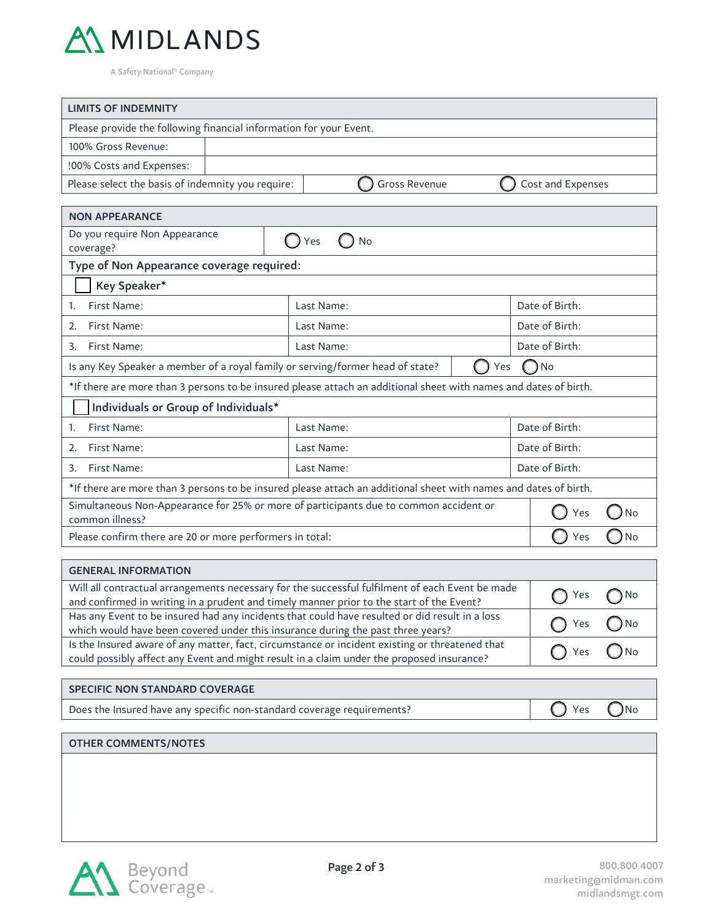

A Safety National® Company

| <b>LIMITS OF INDEMNITY</b>                                                                                                                                                                                  |                              |                |  |  |  |
|-------------------------------------------------------------------------------------------------------------------------------------------------------------------------------------------------------------|------------------------------|----------------|--|--|--|
| Please provide the following financial information for your Event.                                                                                                                                          |                              |                |  |  |  |
| 100% Gross Revenue:                                                                                                                                                                                         |                              |                |  |  |  |
| !00% Costs and Expenses:                                                                                                                                                                                    |                              |                |  |  |  |
| Please select the basis of indemnity you require:<br><b>Gross Revenue</b><br>Cost and Expenses                                                                                                              |                              |                |  |  |  |
| <b>NON APPEARANCE</b>                                                                                                                                                                                       |                              |                |  |  |  |
| Do you require Non Appearance                                                                                                                                                                               |                              |                |  |  |  |
| $\bigcirc$ Yes<br>No<br>coverage?                                                                                                                                                                           |                              |                |  |  |  |
| Type of Non Appearance coverage required:                                                                                                                                                                   |                              |                |  |  |  |
| Key Speaker*                                                                                                                                                                                                |                              |                |  |  |  |
| First Name:<br>1.                                                                                                                                                                                           | Last Name:                   | Date of Birth: |  |  |  |
| First Name:<br>2.                                                                                                                                                                                           | Last Name:                   | Date of Birth: |  |  |  |
| First Name:<br>3.                                                                                                                                                                                           | Date of Birth:<br>Last Name: |                |  |  |  |
| Is any Key Speaker a member of a royal family or serving/former head of state?                                                                                                                              | Yes                          | $\n  0$ No     |  |  |  |
| *If there are more than 3 persons to be insured please attach an additional sheet with names and dates of birth.                                                                                            |                              |                |  |  |  |
| Individuals or Group of Individuals*                                                                                                                                                                        |                              |                |  |  |  |
| First Name:<br>1.                                                                                                                                                                                           | Last Name:                   | Date of Birth: |  |  |  |
| First Name:<br>2.                                                                                                                                                                                           | Last Name:                   | Date of Birth: |  |  |  |
| First Name:<br>3.                                                                                                                                                                                           | Last Name:                   | Date of Birth: |  |  |  |
| *If there are more than 3 persons to be insured please attach an additional sheet with names and dates of birth.                                                                                            |                              |                |  |  |  |
| Simultaneous Non-Appearance for 25% or more of participants due to common accident or<br>No<br>Yes<br>$\Box$<br>common illness?                                                                             |                              |                |  |  |  |
| Please confirm there are 20 or more performers in total:                                                                                                                                                    |                              | O No<br>Yes    |  |  |  |
|                                                                                                                                                                                                             |                              |                |  |  |  |
| <b>GENERAL INFORMATION</b><br>Will all contractual arrangements necessary for the successful fulfilment of each Event be made                                                                               |                              |                |  |  |  |
| and confirmed in writing in a prudent and timely manner prior to the start of the Event?                                                                                                                    | Yes<br>No                    |                |  |  |  |
| Has any Event to be insured had any incidents that could have resulted or did result in a loss<br>which would have been covered under this insurance during the past three years?                           | No<br>Yes                    |                |  |  |  |
| Is the Insured aware of any matter, fact, circumstance or incident existing or threatened that<br>Yes<br>( )No<br>could possibly affect any Event and might result in a claim under the proposed insurance? |                              |                |  |  |  |
|                                                                                                                                                                                                             |                              |                |  |  |  |
| <b>SPECIFIC NON STANDARD COVERAGE</b>                                                                                                                                                                       |                              |                |  |  |  |
| Does the Insured have any specific non-standard coverage requirements?                                                                                                                                      | N <sub>o</sub><br>Yes        |                |  |  |  |
| <b>OTHER COMMENTS/NOTES</b>                                                                                                                                                                                 |                              |                |  |  |  |
|                                                                                                                                                                                                             |                              |                |  |  |  |
|                                                                                                                                                                                                             |                              |                |  |  |  |
|                                                                                                                                                                                                             |                              |                |  |  |  |
|                                                                                                                                                                                                             |                              |                |  |  |  |
|                                                                                                                                                                                                             |                              |                |  |  |  |